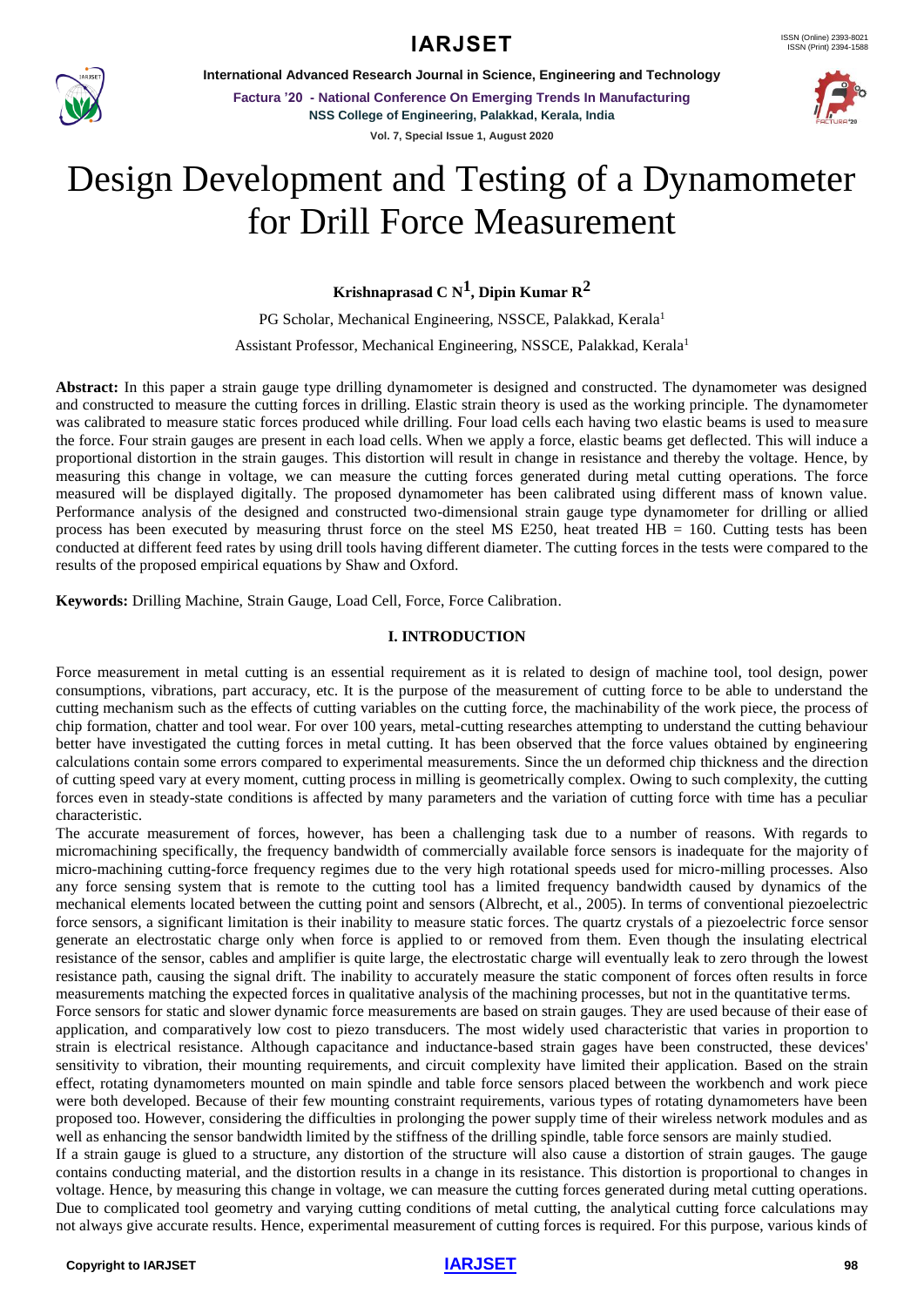

**International Advanced Research Journal in Science, Engineering and Technology**

**Factura '20 - National Conference On Emerging Trends In Manufacturing NSS College of Engineering, Palakkad, Kerala, India Vol. 7, Special Issue 1, August 2020**



# Design Development and Testing of a Dynamometer for Drill Force Measurement

**Krishnaprasad C N1 , Dipin Kumar R2**

PG Scholar, Mechanical Engineering, NSSCE, Palakkad, Kerala<sup>1</sup>

Assistant Professor, Mechanical Engineering, NSSCE, Palakkad, Kerala<sup>1</sup>

**Abstract:** In this paper a strain gauge type drilling dynamometer is designed and constructed. The dynamometer was designed and constructed to measure the cutting forces in drilling. Elastic strain theory is used as the working principle. The dynamometer was calibrated to measure static forces produced while drilling. Four load cells each having two elastic beams is used to measure the force. Four strain gauges are present in each load cells. When we apply a force, elastic beams get deflected. This will induce a proportional distortion in the strain gauges. This distortion will result in change in resistance and thereby the voltage. Hence, by measuring this change in voltage, we can measure the cutting forces generated during metal cutting operations. The force measured will be displayed digitally. The proposed dynamometer has been calibrated using different mass of known value. Performance analysis of the designed and constructed two-dimensional strain gauge type dynamometer for drilling or allied process has been executed by measuring thrust force on the steel MS E250, heat treated  $HB = 160$ . Cutting tests has been conducted at different feed rates by using drill tools having different diameter. The cutting forces in the tests were compared to the results of the proposed empirical equations by Shaw and Oxford.

**Keywords:** Drilling Machine, Strain Gauge, Load Cell, Force, Force Calibration.

# **I. INTRODUCTION**

Force measurement in metal cutting is an essential requirement as it is related to design of machine tool, tool design, power consumptions, vibrations, part accuracy, etc. It is the purpose of the measurement of cutting force to be able to understand the cutting mechanism such as the effects of cutting variables on the cutting force, the machinability of the work piece, the process of chip formation, chatter and tool wear. For over 100 years, metal-cutting researches attempting to understand the cutting behaviour better have investigated the cutting forces in metal cutting. It has been observed that the force values obtained by engineering calculations contain some errors compared to experimental measurements. Since the un deformed chip thickness and the direction of cutting speed vary at every moment, cutting process in milling is geometrically complex. Owing to such complexity, the cutting forces even in steady-state conditions is affected by many parameters and the variation of cutting force with time has a peculiar characteristic.

The accurate measurement of forces, however, has been a challenging task due to a number of reasons. With regards to micromachining specifically, the frequency bandwidth of commercially available force sensors is inadequate for the majority of micro-machining cutting-force frequency regimes due to the very high rotational speeds used for micro-milling processes. Also any force sensing system that is remote to the cutting tool has a limited frequency bandwidth caused by dynamics of the mechanical elements located between the cutting point and sensors (Albrecht, et al., 2005). In terms of conventional piezoelectric force sensors, a significant limitation is their inability to measure static forces. The quartz crystals of a piezoelectric force sensor generate an electrostatic charge only when force is applied to or removed from them. Even though the insulating electrical resistance of the sensor, cables and amplifier is quite large, the electrostatic charge will eventually leak to zero through the lowest resistance path, causing the signal drift. The inability to accurately measure the static component of forces often results in force measurements matching the expected forces in qualitative analysis of the machining processes, but not in the quantitative terms.

Force sensors for static and slower dynamic force measurements are based on strain gauges. They are used because of their ease of application, and comparatively low cost to piezo transducers. The most widely used characteristic that varies in proportion to strain is electrical resistance. Although capacitance and inductance-based strain gages have been constructed, these devices' sensitivity to vibration, their mounting requirements, and circuit complexity have limited their application. Based on the strain effect, rotating dynamometers mounted on main spindle and table force sensors placed between the workbench and work piece were both developed. Because of their few mounting constraint requirements, various types of rotating dynamometers have been proposed too. However, considering the difficulties in prolonging the power supply time of their wireless network modules and as well as enhancing the sensor bandwidth limited by the stiffness of the drilling spindle, table force sensors are mainly studied.

If a strain gauge is glued to a structure, any distortion of the structure will also cause a distortion of strain gauges. The gauge contains conducting material, and the distortion results in a change in its resistance. This distortion is proportional to changes in voltage. Hence, by measuring this change in voltage, we can measure the cutting forces generated during metal cutting operations. Due to complicated tool geometry and varying cutting conditions of metal cutting, the analytical cutting force calculations may not always give accurate results. Hence, experimental measurement of cutting forces is required. For this purpose, various kinds of

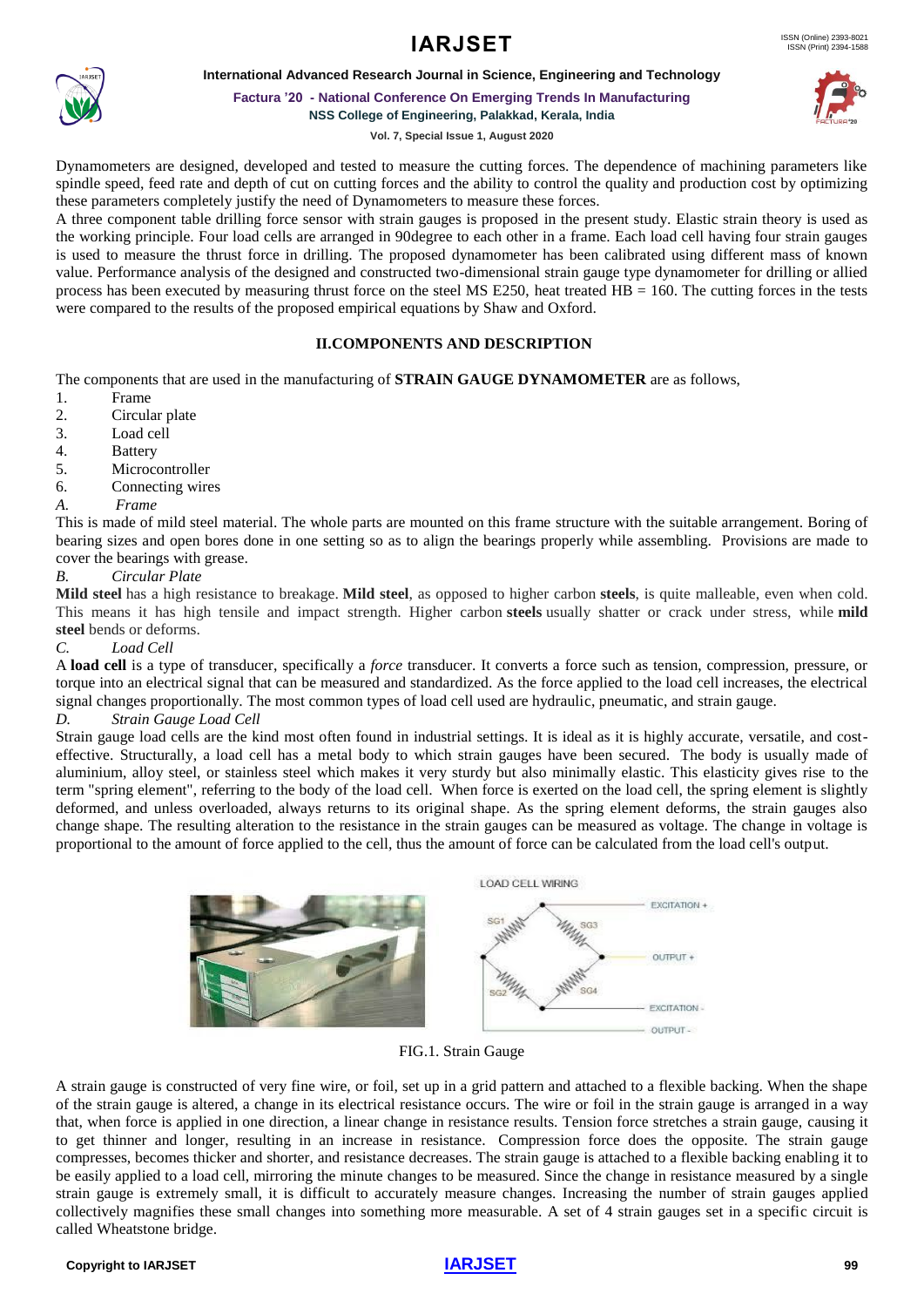### **International Advanced Research Journal in Science, Engineering and Technology**



**Factura '20 - National Conference On Emerging Trends In Manufacturing**

**NSS College of Engineering, Palakkad, Kerala, India**

**Vol. 7, Special Issue 1, August 2020**

Dynamometers are designed, developed and tested to measure the cutting forces. The dependence of machining parameters like spindle speed, feed rate and depth of cut on cutting forces and the ability to control the quality and production cost by optimizing these parameters completely justify the need of Dynamometers to measure these forces.

A three component table drilling force sensor with strain gauges is proposed in the present study. Elastic strain theory is used as the working principle. Four load cells are arranged in 90degree to each other in a frame. Each load cell having four strain gauges is used to measure the thrust force in drilling. The proposed dynamometer has been calibrated using different mass of known value. Performance analysis of the designed and constructed two-dimensional strain gauge type dynamometer for drilling or allied process has been executed by measuring thrust force on the steel MS E250, heat treated HB = 160. The cutting forces in the tests were compared to the results of the proposed empirical equations by Shaw and Oxford.

# **II.COMPONENTS AND DESCRIPTION**

The components that are used in the manufacturing of **STRAIN GAUGE DYNAMOMETER** are as follows,

- 1. Frame<br>2. Circul
- Circular plate
- 3. Load cell
- 4. Battery
- 5. Microcontroller
- 6. Connecting wires
- *A. Frame*

This is made of mild steel material. The whole parts are mounted on this frame structure with the suitable arrangement. Boring of bearing sizes and open bores done in one setting so as to align the bearings properly while assembling. Provisions are made to cover the bearings with grease.

### *B. Circular Plate*

**Mild steel** has a high resistance to breakage. **Mild steel**, as opposed to higher carbon **steels**, is quite malleable, even when cold. This means it has high tensile and impact strength. Higher carbon **steels** usually shatter or crack under stress, while **mild steel** bends or deforms.

#### *C. Load Cell*

A **load cell** is a type of [transducer,](https://en.wikipedia.org/wiki/Transducer) specifically a *force* transducer. It converts a force such as tension, compression, pressure, or torque into an electrical signal that can be measured and standardized. As the force applied to the load cell increases, the electrical signal changes proportionally. The most common types of load cell used are hydraulic, pneumatic, and strain gauge.

#### *D. Strain Gauge Load Cell*

[Strain gauge](https://en.wikipedia.org/wiki/Strain_gauge) load cells are the kind most often found in industrial settings. It is ideal as it is highly accurate, versatile, and costeffective. Structurally, a load cell has a metal body to which strain gauges have been secured. The body is usually made of aluminium, alloy steel, or stainless steel which makes it very sturdy but also minimally elastic. This elasticity gives rise to the term "spring element", referring to the body of the load cell. When force is exerted on the load cell, the spring element is slightly deformed, and unless overloaded, always returns to its original shape. As the spring element deforms, the strain gauges also change shape. The resulting alteration to the resistance in the strain gauges can be measured as voltage. The change in voltage is proportional to the amount of force applied to the cell, thus the amount of force can be calculated from the load cell's output.



FIG.1. Strain Gauge

A strain gauge is constructed of very fine wire, or foil, set up in a grid pattern and attached to a flexible backing. When the shape of the strain gauge is altered, a change in its electrical resistance occurs. The wire or foil in the strain gauge is arranged in a way that, when force is applied in one direction, a linear change in resistance results. Tension force stretches a strain gauge, causing it to get thinner and longer, resulting in an increase in resistance. Compression force does the opposite. The strain gauge compresses, becomes thicker and shorter, and resistance decreases. The strain gauge is attached to a flexible backing enabling it to be easily applied to a load cell, mirroring the minute changes to be measured. Since the change in resistance measured by a single strain gauge is extremely small, it is difficult to accurately measure changes. Increasing the number of strain gauges applied collectively magnifies these small changes into something more measurable. A set of 4 strain gauges set in a specific circuit is called Wheatstone bridge.

#### **Copyright to IARJSET [IARJSET](https://iarjset.com/) 99**

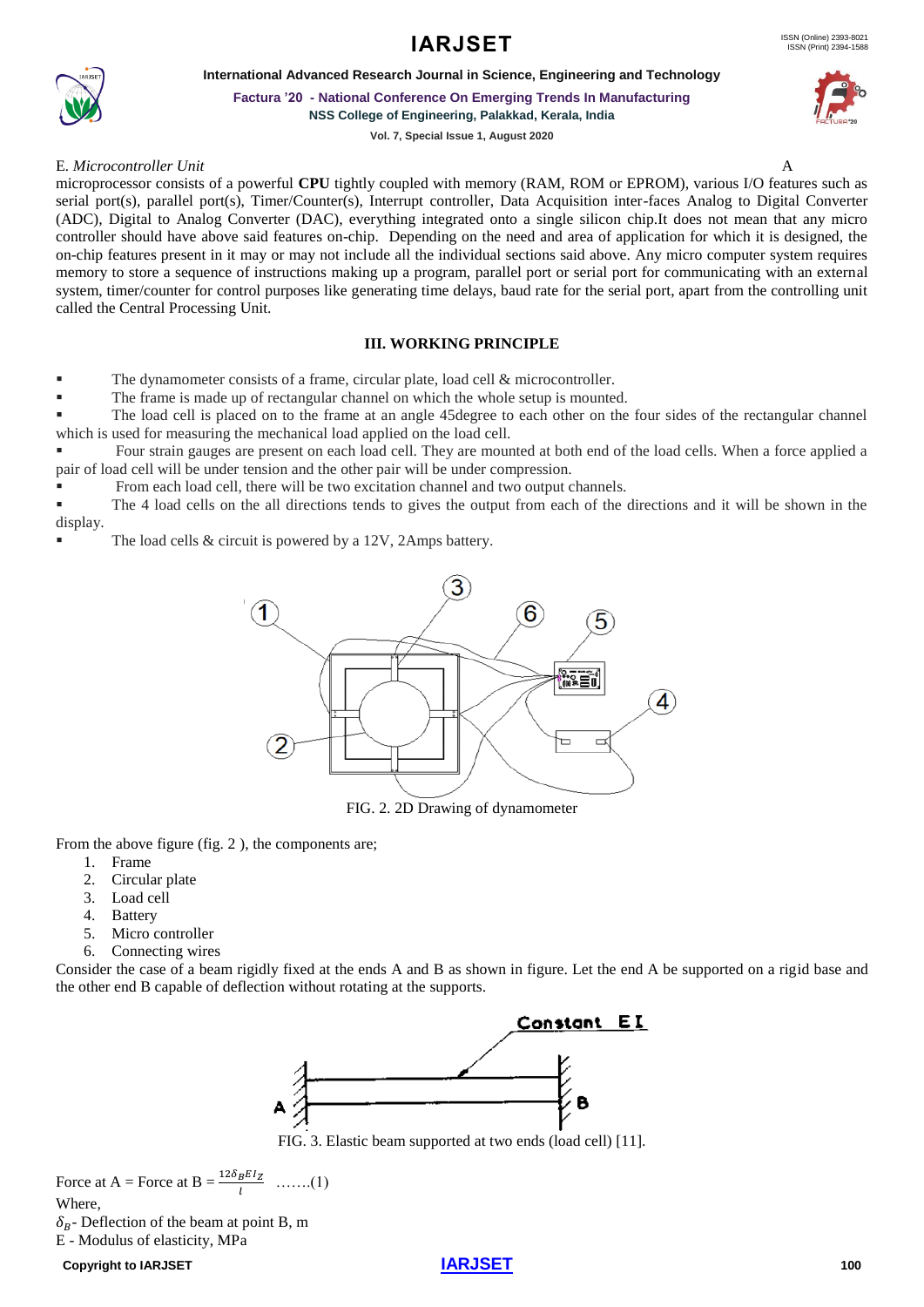**International Advanced Research Journal in Science, Engineering and Technology**



**Factura '20 - National Conference On Emerging Trends In Manufacturing**

**NSS College of Engineering, Palakkad, Kerala, India**

**Vol. 7, Special Issue 1, August 2020**

#### E*. Microcontroller Unit* A



microprocessor consists of a powerful **CPU** tightly coupled with memory (RAM, ROM or EPROM), various I/O features such as serial port(s), parallel port(s), Timer/Counter(s), Interrupt controller, Data Acquisition inter-faces Analog to Digital Converter (ADC), Digital to Analog Converter (DAC), everything integrated onto a single silicon chip.It does not mean that any micro controller should have above said features on-chip. Depending on the need and area of application for which it is designed, the on-chip features present in it may or may not include all the individual sections said above. Any micro computer system requires memory to store a sequence of instructions making up a program, parallel port or serial port for communicating with an external system, timer/counter for control purposes like generating time delays, baud rate for the serial port, apart from the controlling unit called the Central Processing Unit.

### **III. WORKING PRINCIPLE**

The dynamometer consists of a frame, circular plate, load cell  $&$  microcontroller.

The frame is made up of rectangular channel on which the whole setup is mounted.

The load cell is placed on to the frame at an angle 45degree to each other on the four sides of the rectangular channel which is used for measuring the mechanical load applied on the load cell.

Four strain gauges are present on each load cell. They are mounted at both end of the load cells. When a force applied a pair of load cell will be under tension and the other pair will be under compression.

From each load cell, there will be two excitation channel and two output channels.

▪ The 4 load cells on the all directions tends to gives the output from each of the directions and it will be shown in the display.

The load cells  $&$  circuit is powered by a 12V, 2Amps battery.



FIG. 2. 2D Drawing of dynamometer

From the above figure (fig. 2 ), the components are;

- 1. Frame
- 2. Circular plate
- 3. Load cell
- 4. Battery
- 5. Micro controller
- 6. Connecting wires

Consider the case of a beam rigidly fixed at the ends A and B as shown in figure. Let the end A be supported on a rigid base and the other end B capable of deflection without rotating at the supports.



FIG. 3. Elastic beam supported at two ends (load cell) [11].

Force at A = Force at B =  $\frac{12\delta_B EI_Z}{l}$  .......(1) Where,  $\delta_B$ - Deflection of the beam at point B, m E - Modulus of elasticity, MPa

**Copyright to IARJSET [IARJSET](https://iarjset.com/) 100**

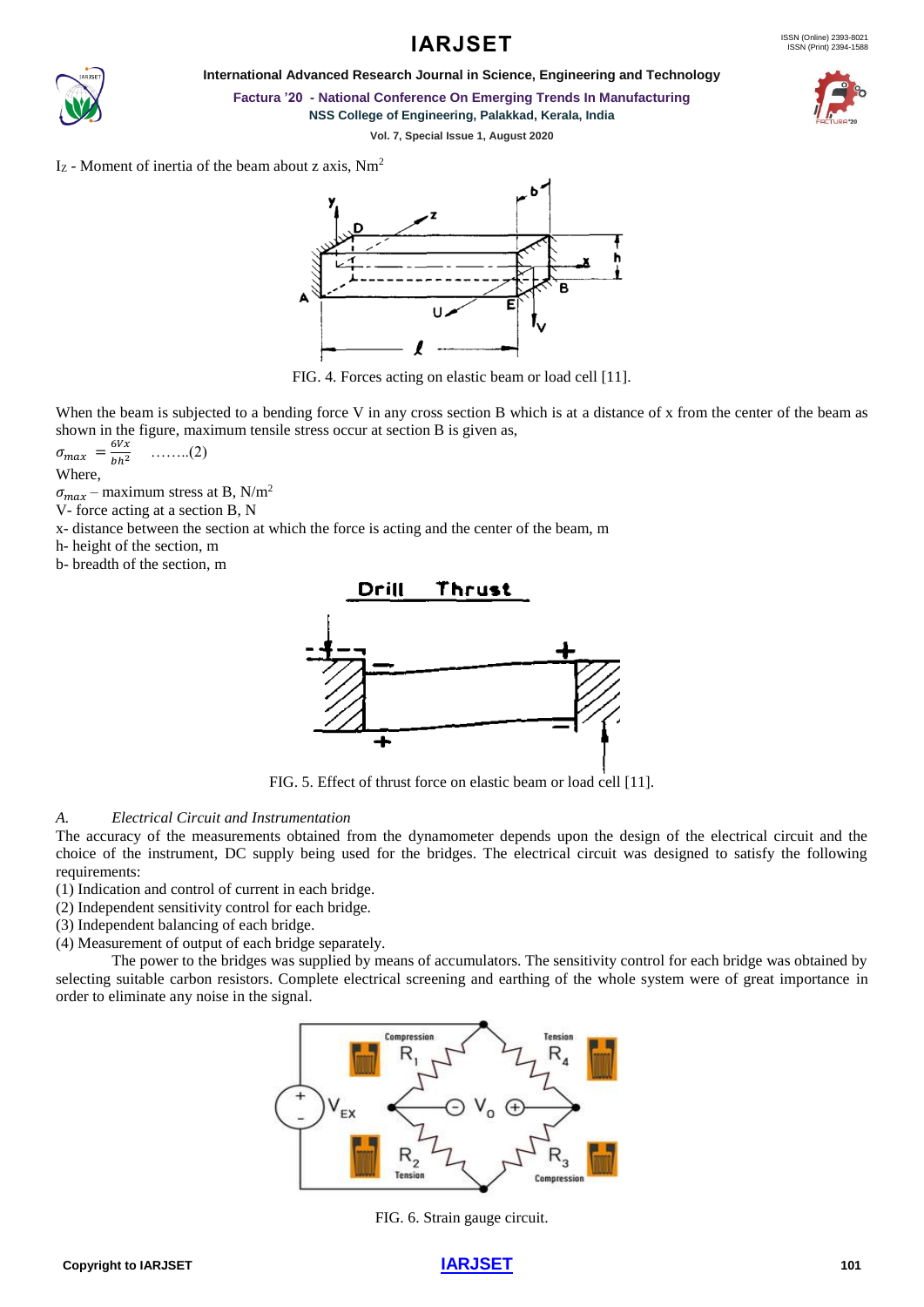

**International Advanced Research Journal in Science, Engineering and Technology**



**Factura '20 - National Conference On Emerging Trends In Manufacturing NSS College of Engineering, Palakkad, Kerala, India**

**Vol. 7, Special Issue 1, August 2020**

 $I_z$  - Moment of inertia of the beam about z axis,  $Nm^2$ 



FIG. 4. Forces acting on elastic beam or load cell [11].

When the beam is subjected to a bending force V in any cross section B which is at a distance of x from the center of the beam as shown in the figure, maximum tensile stress occur at section B is given as,

$$
\sigma_{max} = \frac{6Vx}{bh^2} \quad \ldots \ldots \ldots (2)
$$

Where,

 $\sigma_{max}$  – maximum stress at B, N/m<sup>2</sup>

V- force acting at a section B, N

x- distance between the section at which the force is acting and the center of the beam, m

h- height of the section, m

b- breadth of the section, m



FIG. 5. Effect of thrust force on elastic beam or load cell [11].

# *A. Electrical Circuit and Instrumentation*

The accuracy of the measurements obtained from the dynamometer depends upon the design of the electrical circuit and the choice of the instrument, DC supply being used for the bridges. The electrical circuit was designed to satisfy the following requirements:

- (1) Indication and control of current in each bridge.
- (2) Independent sensitivity control for each bridge.
- (3) Independent balancing of each bridge.
- (4) Measurement of output of each bridge separately.

The power to the bridges was supplied by means of accumulators. The sensitivity control for each bridge was obtained by selecting suitable carbon resistors. Complete electrical screening and earthing of the whole system were of great importance in order to eliminate any noise in the signal.



FIG. 6. Strain gauge circuit.

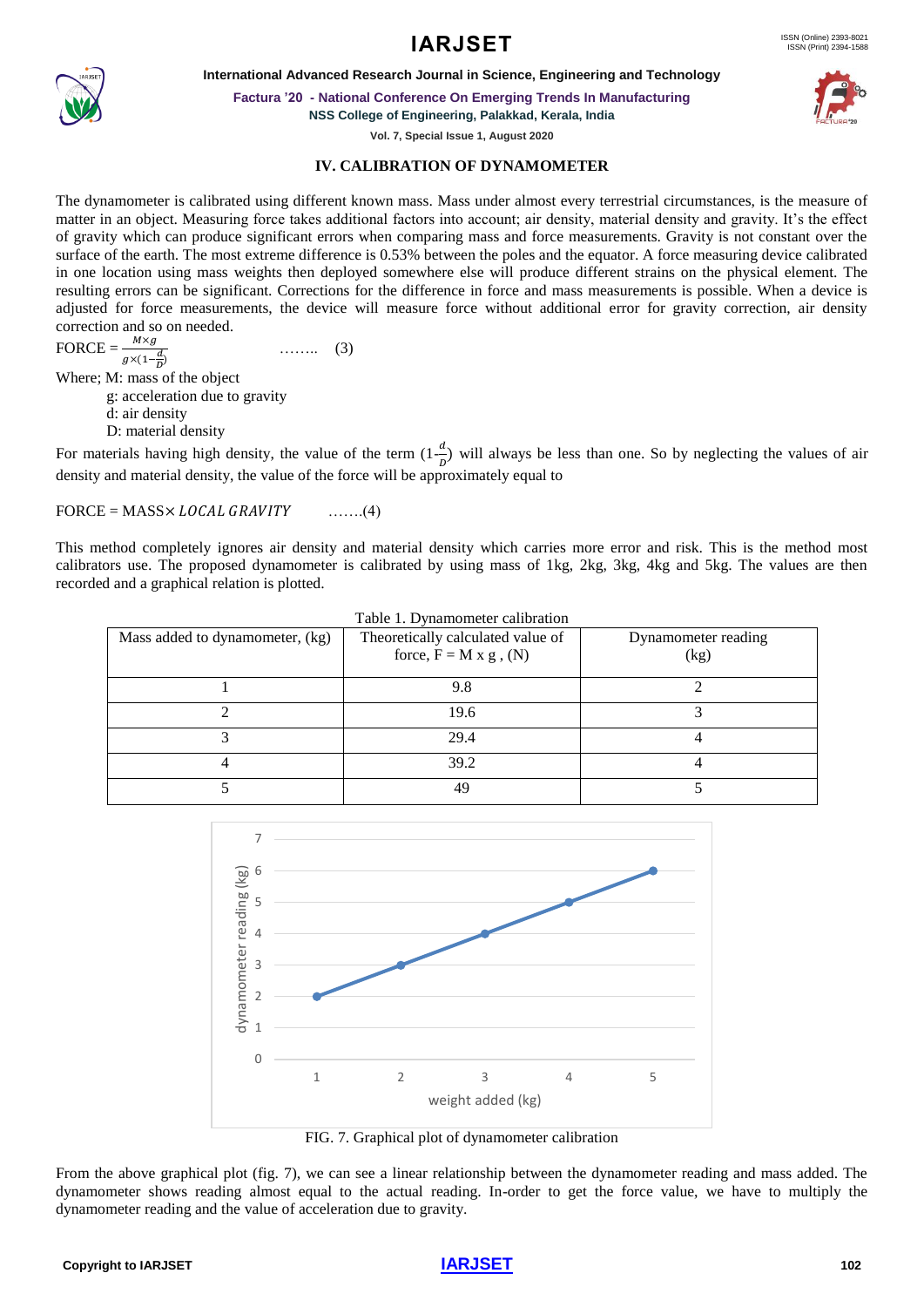**International Advanced Research Journal in Science, Engineering and Technology**

**Factura '20 - National Conference On Emerging Trends In Manufacturing**

**NSS College of Engineering, Palakkad, Kerala, India**

**Vol. 7, Special Issue 1, August 2020**

# **IV. CALIBRATION OF DYNAMOMETER**

The dynamometer is calibrated using different known mass. Mass under almost every terrestrial circumstances, is the measure of matter in an object. Measuring force takes additional factors into account; air density, material density and gravity. It's the effect of gravity which can produce significant errors when comparing mass and force measurements. Gravity is not constant over the surface of the earth. The most extreme difference is 0.53% between the poles and the equator. A force measuring device calibrated in one location using mass weights then deployed somewhere else will produce different strains on the physical element. The resulting errors can be significant. Corrections for the difference in force and mass measurements is possible. When a device is adjusted for force measurements, the device will measure force without additional error for gravity correction, air density correction and so on needed.

 $\text{FORCE} = \frac{M \times g}{\sqrt{M}}$  $g \times (1-\frac{d}{D})$ …….. (3) Where; M: mass of the object g: acceleration due to gravity d: air density D: material density

For materials having high density, the value of the term  $(1-\frac{d}{R})$  $\frac{a}{b}$ ) will always be less than one. So by neglecting the values of air density and material density, the value of the force will be approximately equal to

 $\text{FORCE} = \text{MASS} \times \text{LOCAL} \text{ GRAVITY}$  .......(4)

This method completely ignores air density and material density which carries more error and risk. This is the method most calibrators use. The proposed dynamometer is calibrated by using mass of 1kg, 2kg, 3kg, 4kg and 5kg. The values are then recorded and a graphical relation is plotted.

| Mass added to dynamometer, (kg) | Table 1. Dynamometer calibration<br>Theoretically calculated value of<br>force, $F = M x g$ , (N) | Dynamometer reading<br>(kg) |
|---------------------------------|---------------------------------------------------------------------------------------------------|-----------------------------|
|                                 | 9.8                                                                                               |                             |
|                                 | 19.6                                                                                              |                             |
|                                 | 29.4                                                                                              |                             |
|                                 | 39.2                                                                                              |                             |
|                                 | 49                                                                                                |                             |

7 6 dynamometer reading (kg) dynamometer reading (kg) 5 4 3 2 1  $\sqrt{2}$ 1 2 3 4 5 weight added (kg)

FIG. 7. Graphical plot of dynamometer calibration

From the above graphical plot (fig. 7), we can see a linear relationship between the dynamometer reading and mass added. The dynamometer shows reading almost equal to the actual reading. In-order to get the force value, we have to multiply the dynamometer reading and the value of acceleration due to gravity.





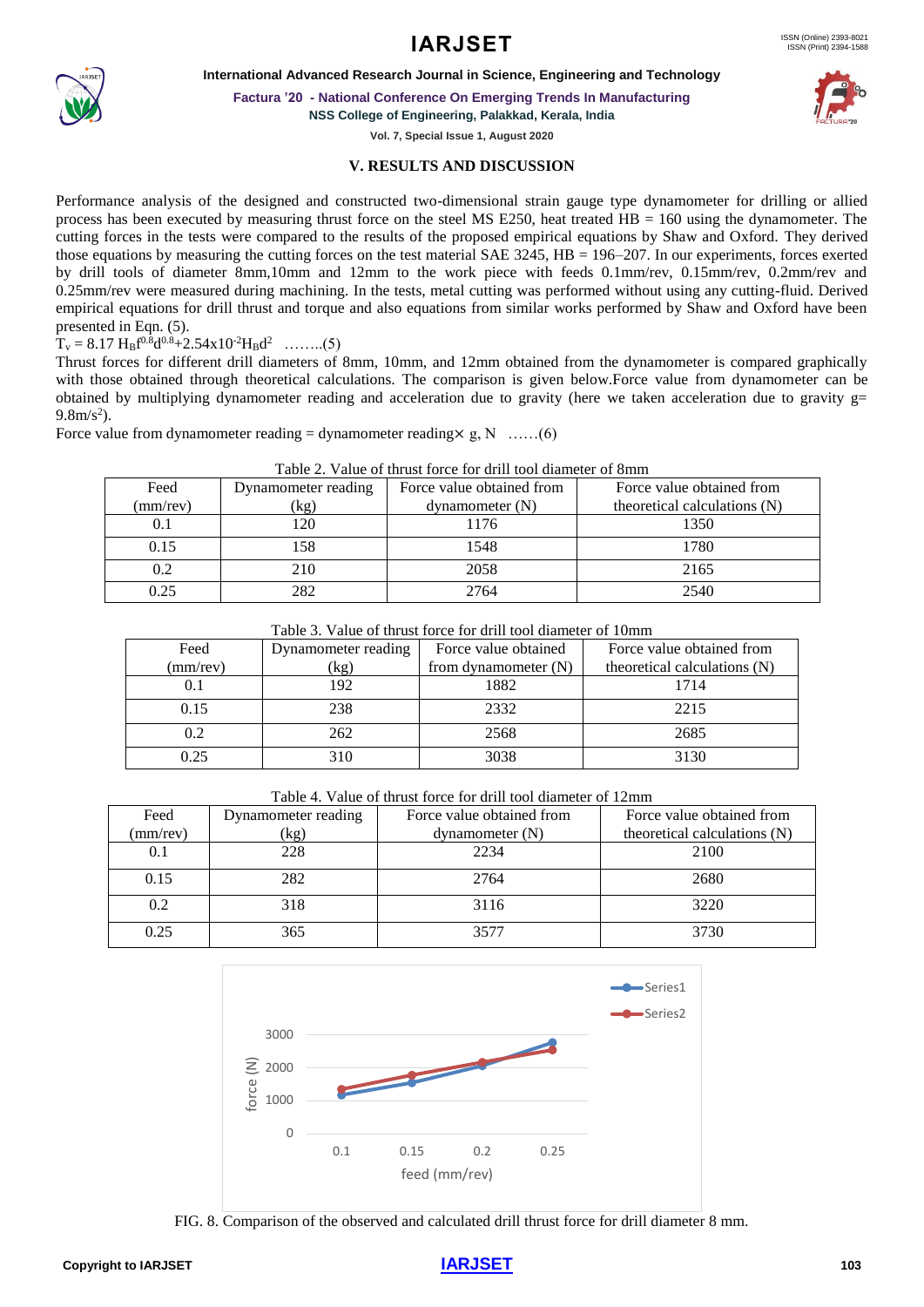

**Factura '20 - National Conference On Emerging Trends In Manufacturing**

**NSS College of Engineering, Palakkad, Kerala, India**

**Vol. 7, Special Issue 1, August 2020**

# **V. RESULTS AND DISCUSSION**

Performance analysis of the designed and constructed two-dimensional strain gauge type dynamometer for drilling or allied process has been executed by measuring thrust force on the steel MS E250, heat treated HB = 160 using the dynamometer. The cutting forces in the tests were compared to the results of the proposed empirical equations by Shaw and Oxford. They derived those equations by measuring the cutting forces on the test material SAE 3245, HB = 196–207. In our experiments, forces exerted by drill tools of diameter 8mm,10mm and 12mm to the work piece with feeds 0.1mm/rev, 0.15mm/rev, 0.2mm/rev and 0.25mm/rev were measured during machining. In the tests, metal cutting was performed without using any cutting-fluid. Derived empirical equations for drill thrust and torque and also equations from similar works performed by Shaw and Oxford have been presented in Eqn. (5).

 $T_v = 8.17 \text{ H}_B f^{0.8} d^{0.8} + 2.54 \text{x} 10^{-2} \text{H}_B d^2 \dots (5)$ 

Thrust forces for different drill diameters of 8mm, 10mm, and 12mm obtained from the dynamometer is compared graphically with those obtained through theoretical calculations. The comparison is given below.Force value from dynamometer can be obtained by multiplying dynamometer reading and acceleration due to gravity (here we taken acceleration due to gravity g=  $9.8 \text{m/s}^2$ ).

Force value from dynamometer reading = dynamometer reading  $\times$  g, N ……(6)

| Tuote 21 - Ande of thrust foree for ultil tool unuited of online |                     |                           |                              |  |
|------------------------------------------------------------------|---------------------|---------------------------|------------------------------|--|
| Feed                                                             | Dynamometer reading | Force value obtained from | Force value obtained from    |  |
| (mm/rev)                                                         | (kg)                | $d$ ynamometer $(N)$      | theoretical calculations (N) |  |
| 0.1                                                              | 20                  | 1176                      | 1350                         |  |
| 0.15                                                             | 158                 | 1548                      | 1780                         |  |
| 0.2                                                              | 210                 | 2058                      | 2165                         |  |
| 0.25                                                             | 282                 | 2764                      | 2540                         |  |

### Table 2. Value of thrust force for drill tool diameter of 8mm

|--|

| Feed     | Dynamometer reading | Force value obtained   | Force value obtained from    |
|----------|---------------------|------------------------|------------------------------|
| (mm/rev) | (kg)                | from dynamometer $(N)$ | theoretical calculations (N) |
|          | 192                 | 1882                   | 1714                         |
| 0.15     | 238                 | 2332                   | 2215                         |
| 0.2      | 262                 | 2568                   | 2685                         |
| 0.25     | 310                 | 3038                   | 3130                         |

Table 4. Value of thrust force for drill tool diameter of 12mm

| Feed     | Dynamometer reading | Force value obtained from | Force value obtained from    |
|----------|---------------------|---------------------------|------------------------------|
| (mm/rev) | (kg)                | $d$ ynamometer $(N)$      | theoretical calculations (N) |
| 0.1      | 228                 | 2234                      | 2100                         |
| 0.15     | 282                 | 2764                      | 2680                         |
| 0.2      | 318                 | 3116                      | 3220                         |
| 0.25     | 365                 | 3577                      | 3730                         |



FIG. 8. Comparison of the observed and calculated drill thrust force for drill diameter 8 mm.

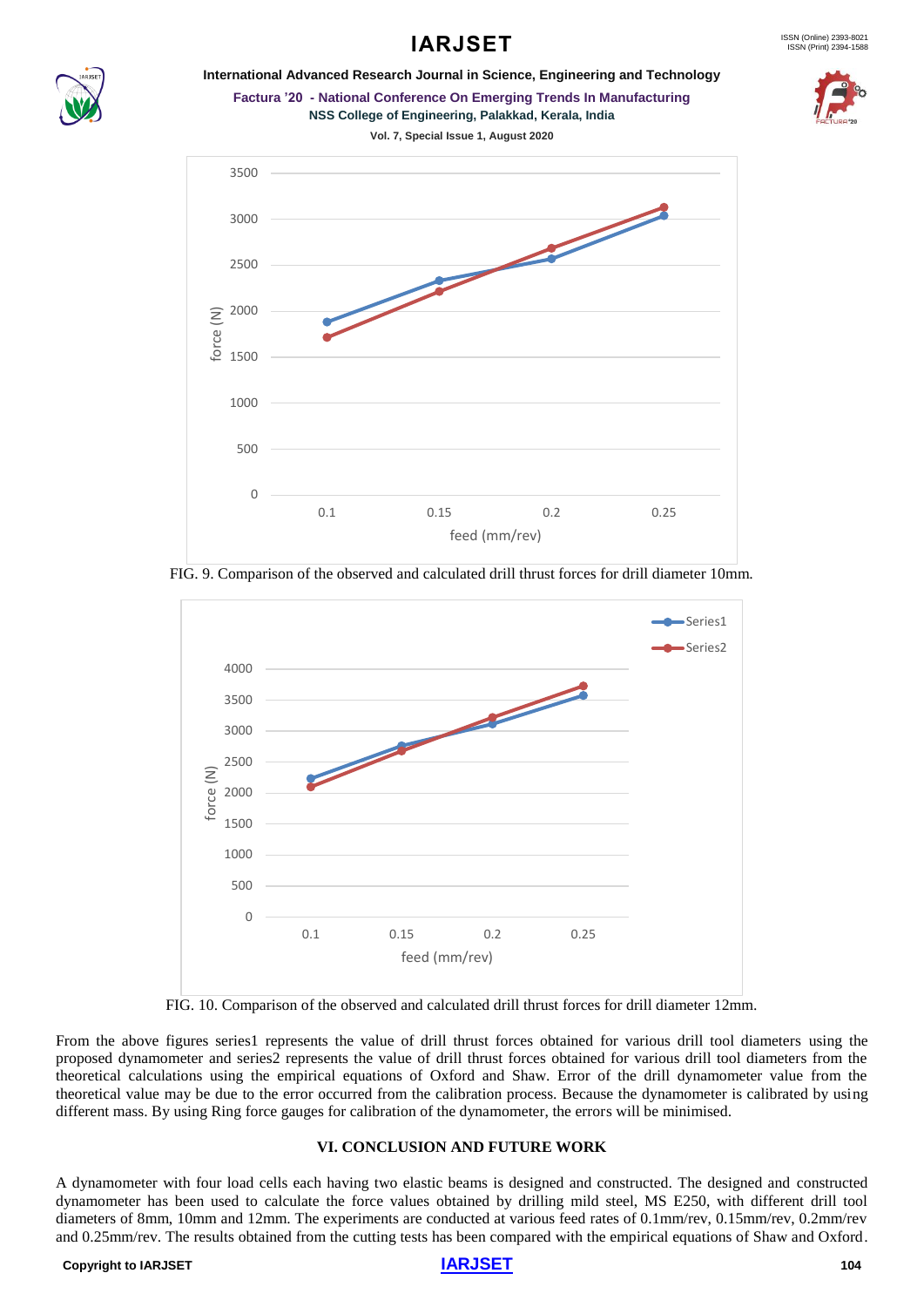# **IARJSET**



# **International Advanced Research Journal in Science, Engineering and Technology Factura '20 - National Conference On Emerging Trends In Manufacturing**



**Vol. 7, Special Issue 1, August 2020**



FIG. 9. Comparison of the observed and calculated drill thrust forces for drill diameter 10mm.



FIG. 10. Comparison of the observed and calculated drill thrust forces for drill diameter 12mm.

From the above figures series1 represents the value of drill thrust forces obtained for various drill tool diameters using the proposed dynamometer and series2 represents the value of drill thrust forces obtained for various drill tool diameters from the theoretical calculations using the empirical equations of Oxford and Shaw. Error of the drill dynamometer value from the theoretical value may be due to the error occurred from the calibration process. Because the dynamometer is calibrated by using different mass. By using Ring force gauges for calibration of the dynamometer, the errors will be minimised.

# **VI. CONCLUSION AND FUTURE WORK**

A dynamometer with four load cells each having two elastic beams is designed and constructed. The designed and constructed dynamometer has been used to calculate the force values obtained by drilling mild steel, MS E250, with different drill tool diameters of 8mm, 10mm and 12mm. The experiments are conducted at various feed rates of 0.1mm/rev, 0.15mm/rev, 0.2mm/rev and 0.25mm/rev. The results obtained from the cutting tests has been compared with the empirical equations of Shaw and Oxford.

#### **Copyright to IARJSET [IARJSET](https://iarjset.com/) 104**